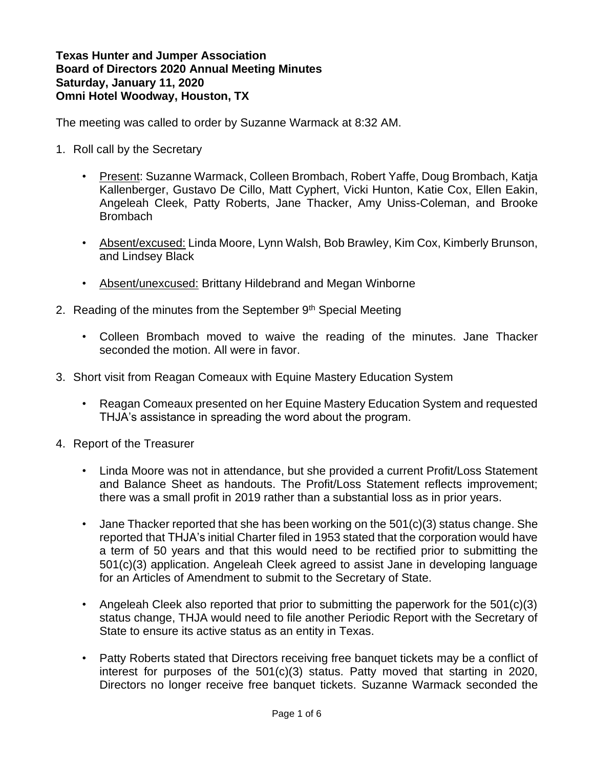**Texas Hunter and Jumper Association Board of Directors 2020 Annual Meeting Minutes Saturday, January 11, 2020 Omni Hotel Woodway, Houston, TX**

The meeting was called to order by Suzanne Warmack at 8:32 AM.

- 1. Roll call by the Secretary
	- Present: Suzanne Warmack, Colleen Brombach, Robert Yaffe, Doug Brombach, Katja Kallenberger, Gustavo De Cillo, Matt Cyphert, Vicki Hunton, Katie Cox, Ellen Eakin, Angeleah Cleek, Patty Roberts, Jane Thacker, Amy Uniss-Coleman, and Brooke **Brombach**
	- Absent/excused: Linda Moore, Lynn Walsh, Bob Brawley, Kim Cox, Kimberly Brunson, and Lindsey Black
	- Absent/unexcused: Brittany Hildebrand and Megan Winborne
- 2. Reading of the minutes from the September  $9<sup>th</sup>$  Special Meeting
	- Colleen Brombach moved to waive the reading of the minutes. Jane Thacker seconded the motion. All were in favor.
- 3. Short visit from Reagan Comeaux with Equine Mastery Education System
	- Reagan Comeaux presented on her Equine Mastery Education System and requested THJA's assistance in spreading the word about the program.
- 4. Report of the Treasurer
	- Linda Moore was not in attendance, but she provided a current Profit/Loss Statement and Balance Sheet as handouts. The Profit/Loss Statement reflects improvement; there was a small profit in 2019 rather than a substantial loss as in prior years.
	- Jane Thacker reported that she has been working on the 501(c)(3) status change. She reported that THJA's initial Charter filed in 1953 stated that the corporation would have a term of 50 years and that this would need to be rectified prior to submitting the 501(c)(3) application. Angeleah Cleek agreed to assist Jane in developing language for an Articles of Amendment to submit to the Secretary of State.
	- Angeleah Cleek also reported that prior to submitting the paperwork for the  $501(c)(3)$ status change, THJA would need to file another Periodic Report with the Secretary of State to ensure its active status as an entity in Texas.
	- Patty Roberts stated that Directors receiving free banquet tickets may be a conflict of interest for purposes of the 501(c)(3) status. Patty moved that starting in 2020, Directors no longer receive free banquet tickets. Suzanne Warmack seconded the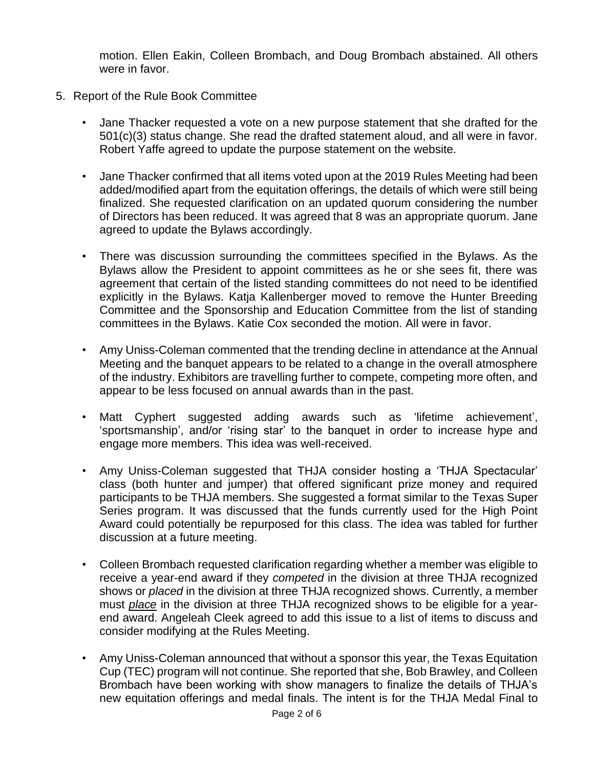motion. Ellen Eakin, Colleen Brombach, and Doug Brombach abstained. All others were in favor.

- 5. Report of the Rule Book Committee
	- Jane Thacker requested a vote on a new purpose statement that she drafted for the 501(c)(3) status change. She read the drafted statement aloud, and all were in favor. Robert Yaffe agreed to update the purpose statement on the website.
	- Jane Thacker confirmed that all items voted upon at the 2019 Rules Meeting had been added/modified apart from the equitation offerings, the details of which were still being finalized. She requested clarification on an updated quorum considering the number of Directors has been reduced. It was agreed that 8 was an appropriate quorum. Jane agreed to update the Bylaws accordingly.
	- There was discussion surrounding the committees specified in the Bylaws. As the Bylaws allow the President to appoint committees as he or she sees fit, there was agreement that certain of the listed standing committees do not need to be identified explicitly in the Bylaws. Katja Kallenberger moved to remove the Hunter Breeding Committee and the Sponsorship and Education Committee from the list of standing committees in the Bylaws. Katie Cox seconded the motion. All were in favor.
	- Amy Uniss-Coleman commented that the trending decline in attendance at the Annual Meeting and the banquet appears to be related to a change in the overall atmosphere of the industry. Exhibitors are travelling further to compete, competing more often, and appear to be less focused on annual awards than in the past.
	- Matt Cyphert suggested adding awards such as 'lifetime achievement', 'sportsmanship', and/or 'rising star' to the banquet in order to increase hype and engage more members. This idea was well-received.
	- Amy Uniss-Coleman suggested that THJA consider hosting a 'THJA Spectacular' class (both hunter and jumper) that offered significant prize money and required participants to be THJA members. She suggested a format similar to the Texas Super Series program. It was discussed that the funds currently used for the High Point Award could potentially be repurposed for this class. The idea was tabled for further discussion at a future meeting.
	- Colleen Brombach requested clarification regarding whether a member was eligible to receive a year-end award if they *competed* in the division at three THJA recognized shows or *placed* in the division at three THJA recognized shows. Currently, a member must *place* in the division at three THJA recognized shows to be eligible for a yearend award. Angeleah Cleek agreed to add this issue to a list of items to discuss and consider modifying at the Rules Meeting.
	- Amy Uniss-Coleman announced that without a sponsor this year, the Texas Equitation Cup (TEC) program will not continue. She reported that she, Bob Brawley, and Colleen Brombach have been working with show managers to finalize the details of THJA's new equitation offerings and medal finals. The intent is for the THJA Medal Final to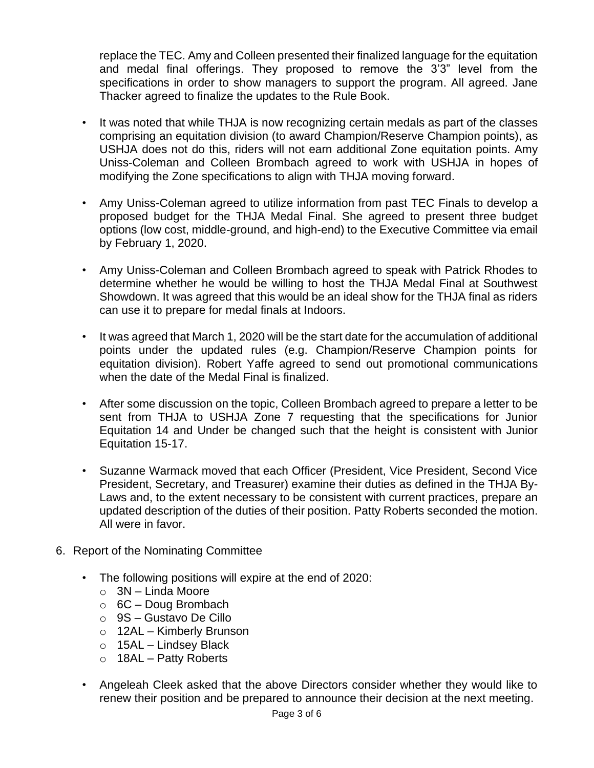replace the TEC. Amy and Colleen presented their finalized language for the equitation and medal final offerings. They proposed to remove the 3'3" level from the specifications in order to show managers to support the program. All agreed. Jane Thacker agreed to finalize the updates to the Rule Book.

- It was noted that while THJA is now recognizing certain medals as part of the classes comprising an equitation division (to award Champion/Reserve Champion points), as USHJA does not do this, riders will not earn additional Zone equitation points. Amy Uniss-Coleman and Colleen Brombach agreed to work with USHJA in hopes of modifying the Zone specifications to align with THJA moving forward.
- Amy Uniss-Coleman agreed to utilize information from past TEC Finals to develop a proposed budget for the THJA Medal Final. She agreed to present three budget options (low cost, middle-ground, and high-end) to the Executive Committee via email by February 1, 2020.
- Amy Uniss-Coleman and Colleen Brombach agreed to speak with Patrick Rhodes to determine whether he would be willing to host the THJA Medal Final at Southwest Showdown. It was agreed that this would be an ideal show for the THJA final as riders can use it to prepare for medal finals at Indoors.
- It was agreed that March 1, 2020 will be the start date for the accumulation of additional points under the updated rules (e.g. Champion/Reserve Champion points for equitation division). Robert Yaffe agreed to send out promotional communications when the date of the Medal Final is finalized.
- After some discussion on the topic, Colleen Brombach agreed to prepare a letter to be sent from THJA to USHJA Zone 7 requesting that the specifications for Junior Equitation 14 and Under be changed such that the height is consistent with Junior Equitation 15-17.
- Suzanne Warmack moved that each Officer (President, Vice President, Second Vice President, Secretary, and Treasurer) examine their duties as defined in the THJA By-Laws and, to the extent necessary to be consistent with current practices, prepare an updated description of the duties of their position. Patty Roberts seconded the motion. All were in favor.
- 6. Report of the Nominating Committee
	- The following positions will expire at the end of 2020:
		- $\circ$  3N Linda Moore
		- $\circ$  6C Doug Brombach
		- o 9S Gustavo De Cillo
		- o 12AL Kimberly Brunson
		- $\circ$  15AL Lindsey Black
		- $\circ$  18AL Patty Roberts
	- Angeleah Cleek asked that the above Directors consider whether they would like to renew their position and be prepared to announce their decision at the next meeting.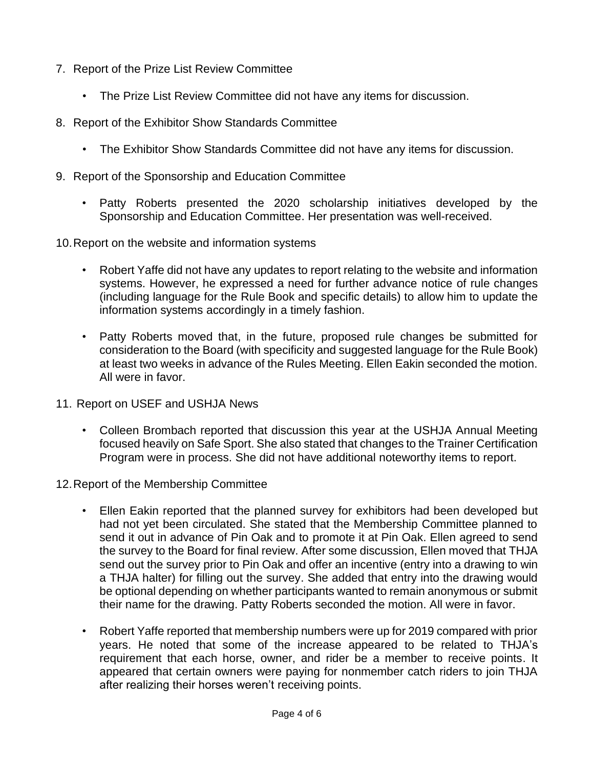- 7. Report of the Prize List Review Committee
	- The Prize List Review Committee did not have any items for discussion.
- 8. Report of the Exhibitor Show Standards Committee
	- The Exhibitor Show Standards Committee did not have any items for discussion.
- 9. Report of the Sponsorship and Education Committee
	- Patty Roberts presented the 2020 scholarship initiatives developed by the Sponsorship and Education Committee. Her presentation was well-received.
- 10.Report on the website and information systems
	- Robert Yaffe did not have any updates to report relating to the website and information systems. However, he expressed a need for further advance notice of rule changes (including language for the Rule Book and specific details) to allow him to update the information systems accordingly in a timely fashion.
	- Patty Roberts moved that, in the future, proposed rule changes be submitted for consideration to the Board (with specificity and suggested language for the Rule Book) at least two weeks in advance of the Rules Meeting. Ellen Eakin seconded the motion. All were in favor.
- 11. Report on USEF and USHJA News
	- Colleen Brombach reported that discussion this year at the USHJA Annual Meeting focused heavily on Safe Sport. She also stated that changes to the Trainer Certification Program were in process. She did not have additional noteworthy items to report.
- 12.Report of the Membership Committee
	- Ellen Eakin reported that the planned survey for exhibitors had been developed but had not yet been circulated. She stated that the Membership Committee planned to send it out in advance of Pin Oak and to promote it at Pin Oak. Ellen agreed to send the survey to the Board for final review. After some discussion, Ellen moved that THJA send out the survey prior to Pin Oak and offer an incentive (entry into a drawing to win a THJA halter) for filling out the survey. She added that entry into the drawing would be optional depending on whether participants wanted to remain anonymous or submit their name for the drawing. Patty Roberts seconded the motion. All were in favor.
	- Robert Yaffe reported that membership numbers were up for 2019 compared with prior years. He noted that some of the increase appeared to be related to THJA's requirement that each horse, owner, and rider be a member to receive points. It appeared that certain owners were paying for nonmember catch riders to join THJA after realizing their horses weren't receiving points.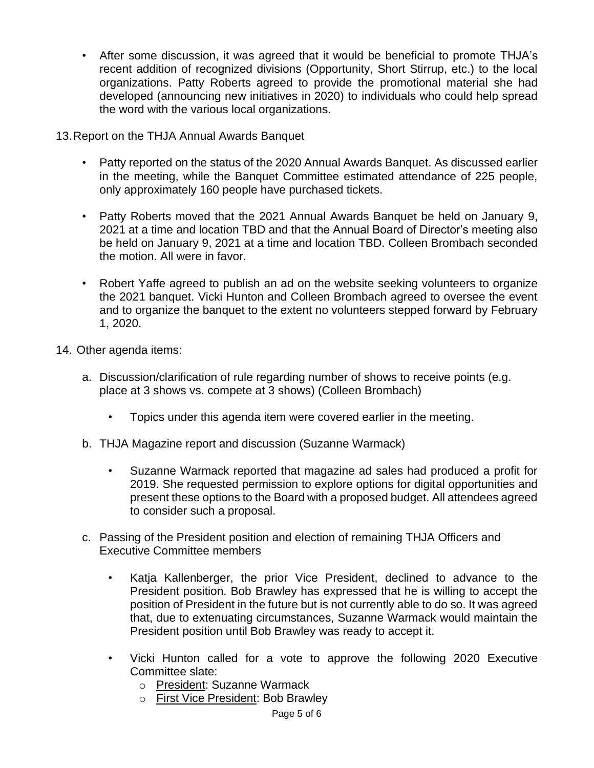- After some discussion, it was agreed that it would be beneficial to promote THJA's recent addition of recognized divisions (Opportunity, Short Stirrup, etc.) to the local organizations. Patty Roberts agreed to provide the promotional material she had developed (announcing new initiatives in 2020) to individuals who could help spread the word with the various local organizations.
- 13.Report on the THJA Annual Awards Banquet
	- Patty reported on the status of the 2020 Annual Awards Banquet. As discussed earlier in the meeting, while the Banquet Committee estimated attendance of 225 people, only approximately 160 people have purchased tickets.
	- Patty Roberts moved that the 2021 Annual Awards Banquet be held on January 9, 2021 at a time and location TBD and that the Annual Board of Director's meeting also be held on January 9, 2021 at a time and location TBD. Colleen Brombach seconded the motion. All were in favor.
	- Robert Yaffe agreed to publish an ad on the website seeking volunteers to organize the 2021 banquet. Vicki Hunton and Colleen Brombach agreed to oversee the event and to organize the banquet to the extent no volunteers stepped forward by February 1, 2020.
- 14. Other agenda items:
	- a. Discussion/clarification of rule regarding number of shows to receive points (e.g. place at 3 shows vs. compete at 3 shows) (Colleen Brombach)
		- Topics under this agenda item were covered earlier in the meeting.
	- b. THJA Magazine report and discussion (Suzanne Warmack)
		- Suzanne Warmack reported that magazine ad sales had produced a profit for 2019. She requested permission to explore options for digital opportunities and present these options to the Board with a proposed budget. All attendees agreed to consider such a proposal.
	- c. Passing of the President position and election of remaining THJA Officers and Executive Committee members
		- Katja Kallenberger, the prior Vice President, declined to advance to the President position. Bob Brawley has expressed that he is willing to accept the position of President in the future but is not currently able to do so. It was agreed that, due to extenuating circumstances, Suzanne Warmack would maintain the President position until Bob Brawley was ready to accept it.
		- Vicki Hunton called for a vote to approve the following 2020 Executive Committee slate:
			- o President: Suzanne Warmack
			- o First Vice President: Bob Brawley